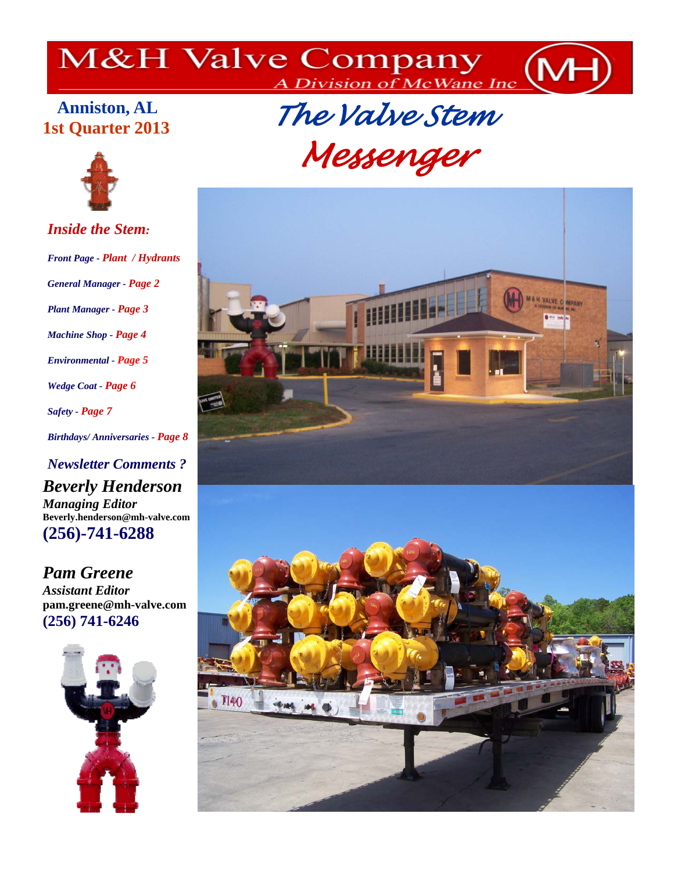# M&H Valve Company MH

## **Anniston, AL 1st Quarter 2013**



*Inside the Stem: Front Page - Plant / Hydrants General Manager - Page 2 Plant Manager - Page 3 Machine Shop - Page 4 Environmental - Page 5 Wedge Coat - Page 6 Safety - Page 7 Birthdays/ Anniversaries - Page 8* 

*Newsletter Comments ? Beverly Henderson Managing Editor*  **Beverly.henderson@mh-valve.com (256)-741-6288** 

*Pam Greene Assistant Editor*  **pam.greene@mh-valve.com (256) 741-6246**



 *The Valve Stem Messenger*

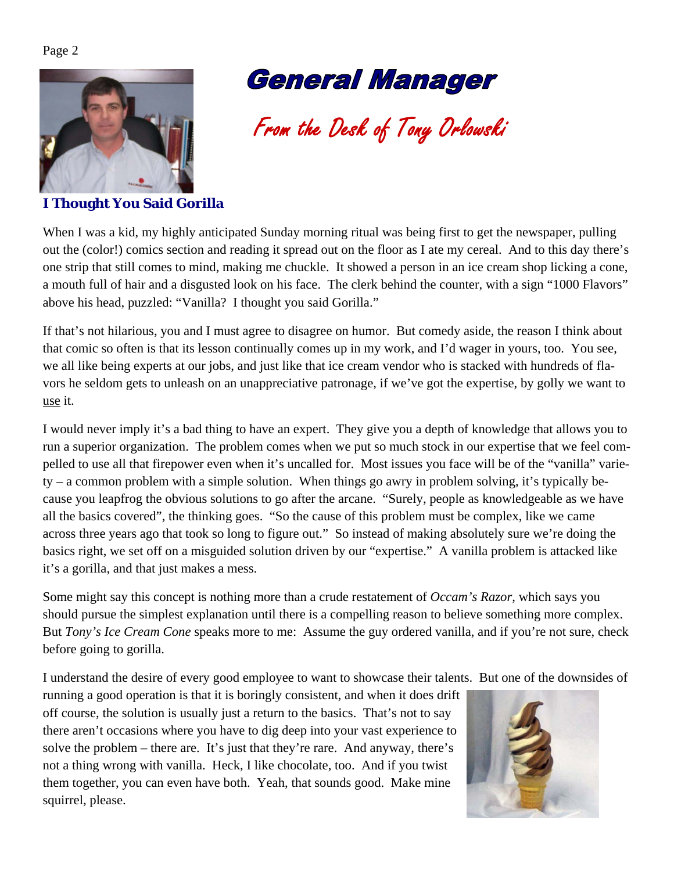

## **General Manager**

From the Desk of Tony Orlowski

## **I Thought You Said Gorilla**

When I was a kid, my highly anticipated Sunday morning ritual was being first to get the newspaper, pulling out the (color!) comics section and reading it spread out on the floor as I ate my cereal. And to this day there's one strip that still comes to mind, making me chuckle. It showed a person in an ice cream shop licking a cone, a mouth full of hair and a disgusted look on his face. The clerk behind the counter, with a sign "1000 Flavors" above his head, puzzled: "Vanilla? I thought you said Gorilla."

If that's not hilarious, you and I must agree to disagree on humor. But comedy aside, the reason I think about that comic so often is that its lesson continually comes up in my work, and I'd wager in yours, too. You see, we all like being experts at our jobs, and just like that ice cream vendor who is stacked with hundreds of flavors he seldom gets to unleash on an unappreciative patronage, if we've got the expertise, by golly we want to use it.

I would never imply it's a bad thing to have an expert. They give you a depth of knowledge that allows you to run a superior organization. The problem comes when we put so much stock in our expertise that we feel compelled to use all that firepower even when it's uncalled for. Most issues you face will be of the "vanilla" variety – a common problem with a simple solution. When things go awry in problem solving, it's typically because you leapfrog the obvious solutions to go after the arcane. "Surely, people as knowledgeable as we have all the basics covered", the thinking goes. "So the cause of this problem must be complex, like we came across three years ago that took so long to figure out." So instead of making absolutely sure we're doing the basics right, we set off on a misguided solution driven by our "expertise." A vanilla problem is attacked like it's a gorilla, and that just makes a mess.

Some might say this concept is nothing more than a crude restatement of *Occam's Razor*, which says you should pursue the simplest explanation until there is a compelling reason to believe something more complex. But *Tony's Ice Cream Cone* speaks more to me: Assume the guy ordered vanilla, and if you're not sure, check before going to gorilla.

I understand the desire of every good employee to want to showcase their talents. But one of the downsides of

running a good operation is that it is boringly consistent, and when it does drift off course, the solution is usually just a return to the basics. That's not to say there aren't occasions where you have to dig deep into your vast experience to solve the problem – there are. It's just that they're rare. And anyway, there's not a thing wrong with vanilla. Heck, I like chocolate, too. And if you twist them together, you can even have both. Yeah, that sounds good. Make mine squirrel, please.

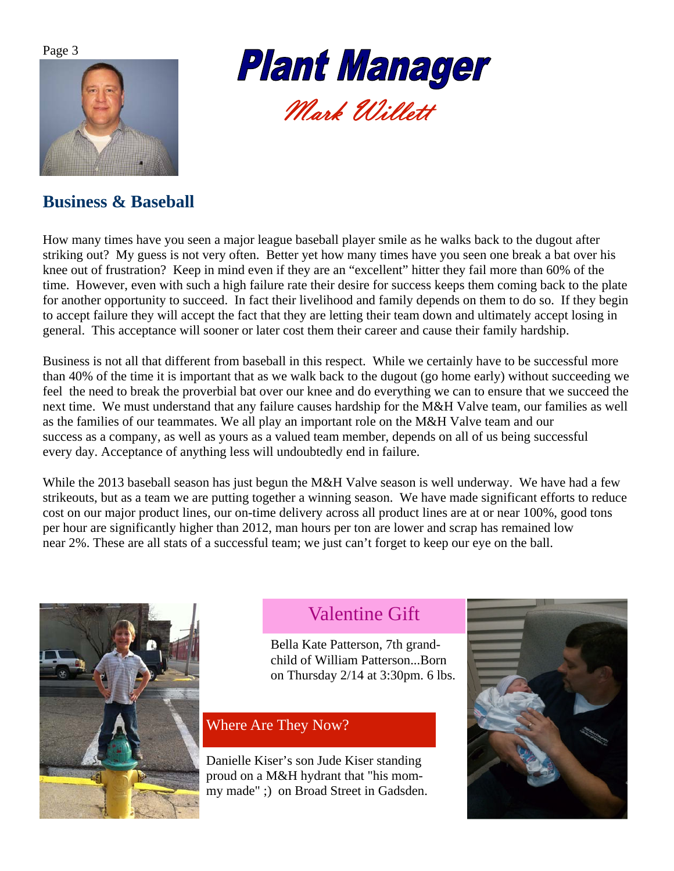



## **Business & Baseball**

How many times have you seen a major league baseball player smile as he walks back to the dugout after striking out? My guess is not very often. Better yet how many times have you seen one break a bat over his knee out of frustration? Keep in mind even if they are an "excellent" hitter they fail more than 60% of the time. However, even with such a high failure rate their desire for success keeps them coming back to the plate for another opportunity to succeed. In fact their livelihood and family depends on them to do so. If they begin to accept failure they will accept the fact that they are letting their team down and ultimately accept losing in general. This acceptance will sooner or later cost them their career and cause their family hardship.

Business is not all that different from baseball in this respect. While we certainly have to be successful more than 40% of the time it is important that as we walk back to the dugout (go home early) without succeeding we feel the need to break the proverbial bat over our knee and do everything we can to ensure that we succeed the next time. We must understand that any failure causes hardship for the M&H Valve team, our families as well as the families of our teammates. We all play an important role on the M&H Valve team and our success as a company, as well as yours as a valued team member, depends on all of us being successful every day. Acceptance of anything less will undoubtedly end in failure.

While the 2013 baseball season has just begun the M&H Valve season is well underway. We have had a few strikeouts, but as a team we are putting together a winning season. We have made significant efforts to reduce cost on our major product lines, our on-time delivery across all product lines are at or near 100%, good tons per hour are significantly higher than 2012, man hours per ton are lower and scrap has remained low near 2%. These are all stats of a successful team; we just can't forget to keep our eye on the ball.



## Valentine Gift

Bella Kate Patterson, 7th grandchild of William Patterson...Born on Thursday 2/14 at 3:30pm. 6 lbs.

## Where Are They Now?

Danielle Kiser's son Jude Kiser standing proud on a M&H hydrant that "his mommy made" ;) on Broad Street in Gadsden.

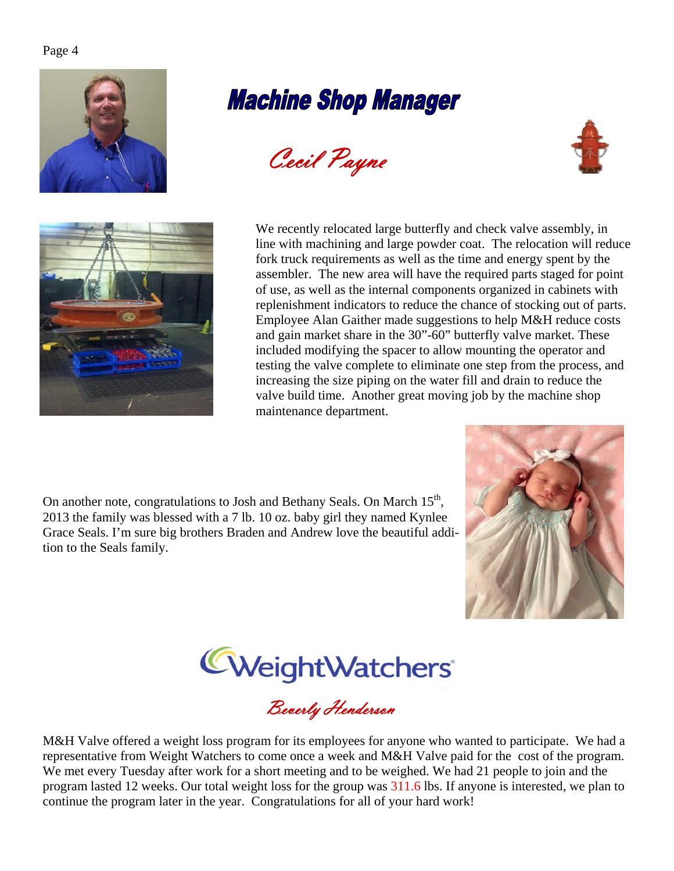# **Machine Shop Manager**







 We recently relocated large butterfly and check valve assembly, in line with machining and large powder coat. The relocation will reduce fork truck requirements as well as the time and energy spent by the assembler. The new area will have the required parts staged for point of use, as well as the internal components organized in cabinets with replenishment indicators to reduce the chance of stocking out of parts. Employee Alan Gaither made suggestions to help M&H reduce costs and gain market share in the 30"-60" butterfly valve market. These included modifying the spacer to allow mounting the operator and testing the valve complete to eliminate one step from the process, and increasing the size piping on the water fill and drain to reduce the valve build time. Another great moving job by the machine shop maintenance department.

On another note, congratulations to Josh and Bethany Seals. On March 15<sup>th</sup>, 2013 the family was blessed with a 7 lb. 10 oz. baby girl they named Kynlee Grace Seals. I'm sure big brothers Braden and Andrew love the beautiful addition to the Seals family.





Beverly Henderson

M&H Valve offered a weight loss program for its employees for anyone who wanted to participate. We had a representative from Weight Watchers to come once a week and M&H Valve paid for the cost of the program. We met every Tuesday after work for a short meeting and to be weighed. We had 21 people to join and the program lasted 12 weeks. Our total weight loss for the group was 311.6 lbs. If anyone is interested, we plan to continue the program later in the year. Congratulations for all of your hard work!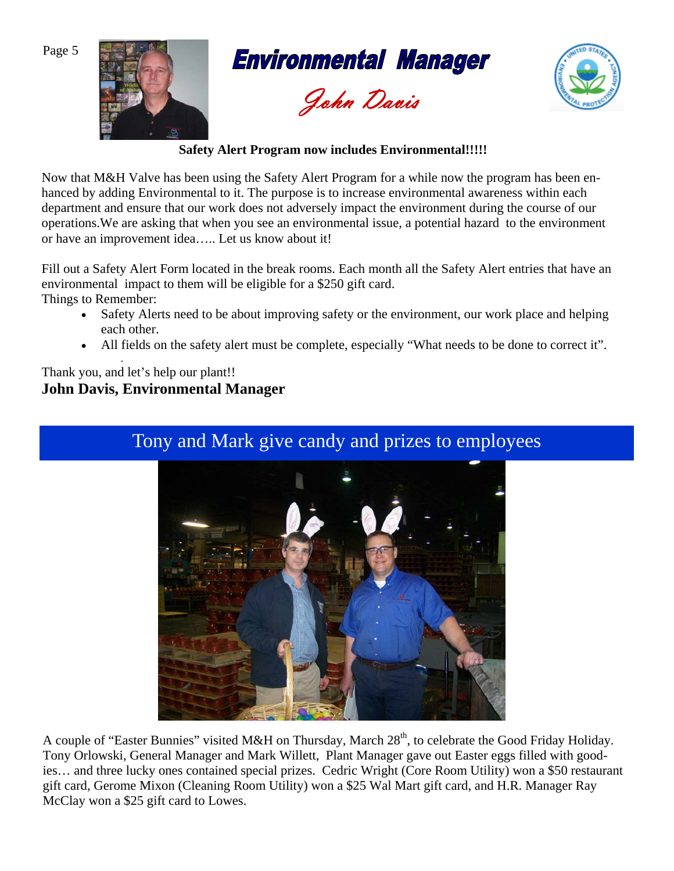

**Environmental Manager** 





## **Safety Alert Program now includes Environmental!!!!!**

Now that M&H Valve has been using the Safety Alert Program for a while now the program has been enhanced by adding Environmental to it. The purpose is to increase environmental awareness within each department and ensure that our work does not adversely impact the environment during the course of our operations.We are asking that when you see an environmental issue, a potential hazard to the environment or have an improvement idea….. Let us know about it!

Fill out a Safety Alert Form located in the break rooms. Each month all the Safety Alert entries that have an environmental impact to them will be eligible for a \$250 gift card. Things to Remember:

- Safety Alerts need to be about improving safety or the environment, our work place and helping each other.
- All fields on the safety alert must be complete, especially "What needs to be done to correct it".

## *.* Thank you, and let's help our plant!! **John Davis, Environmental Manager**

## Tony and Mark give candy and prizes to employees



A couple of "Easter Bunnies" visited M&H on Thursday, March 28<sup>th</sup>, to celebrate the Good Friday Holiday. Tony Orlowski, General Manager and Mark Willett, Plant Manager gave out Easter eggs filled with goodies… and three lucky ones contained special prizes. Cedric Wright (Core Room Utility) won a \$50 restaurant gift card, Gerome Mixon (Cleaning Room Utility) won a \$25 Wal Mart gift card, and H.R. Manager Ray McClay won a \$25 gift card to Lowes.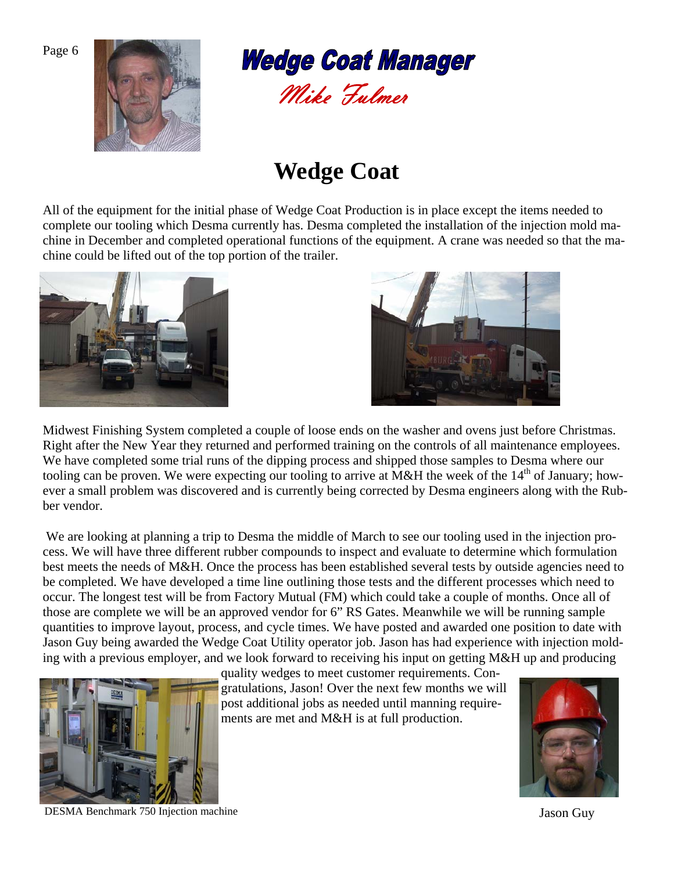



## **Wedge Coat**

All of the equipment for the initial phase of Wedge Coat Production is in place except the items needed to complete our tooling which Desma currently has. Desma completed the installation of the injection mold machine in December and completed operational functions of the equipment. A crane was needed so that the machine could be lifted out of the top portion of the trailer.





Midwest Finishing System completed a couple of loose ends on the washer and ovens just before Christmas. Right after the New Year they returned and performed training on the controls of all maintenance employees. We have completed some trial runs of the dipping process and shipped those samples to Desma where our tooling can be proven. We were expecting our tooling to arrive at M&H the week of the  $14<sup>th</sup>$  of January; however a small problem was discovered and is currently being corrected by Desma engineers along with the Rubber vendor.

 We are looking at planning a trip to Desma the middle of March to see our tooling used in the injection process. We will have three different rubber compounds to inspect and evaluate to determine which formulation best meets the needs of M&H. Once the process has been established several tests by outside agencies need to be completed. We have developed a time line outlining those tests and the different processes which need to occur. The longest test will be from Factory Mutual (FM) which could take a couple of months. Once all of those are complete we will be an approved vendor for 6" RS Gates. Meanwhile we will be running sample quantities to improve layout, process, and cycle times. We have posted and awarded one position to date with Jason Guy being awarded the Wedge Coat Utility operator job. Jason has had experience with injection molding with a previous employer, and we look forward to receiving his input on getting M&H up and producing



quality wedges to meet customer requirements. Congratulations, Jason! Over the next few months we will post additional jobs as needed until manning requirements are met and M&H is at full production.



DESMA Benchmark 750 Injection machine Jason Guy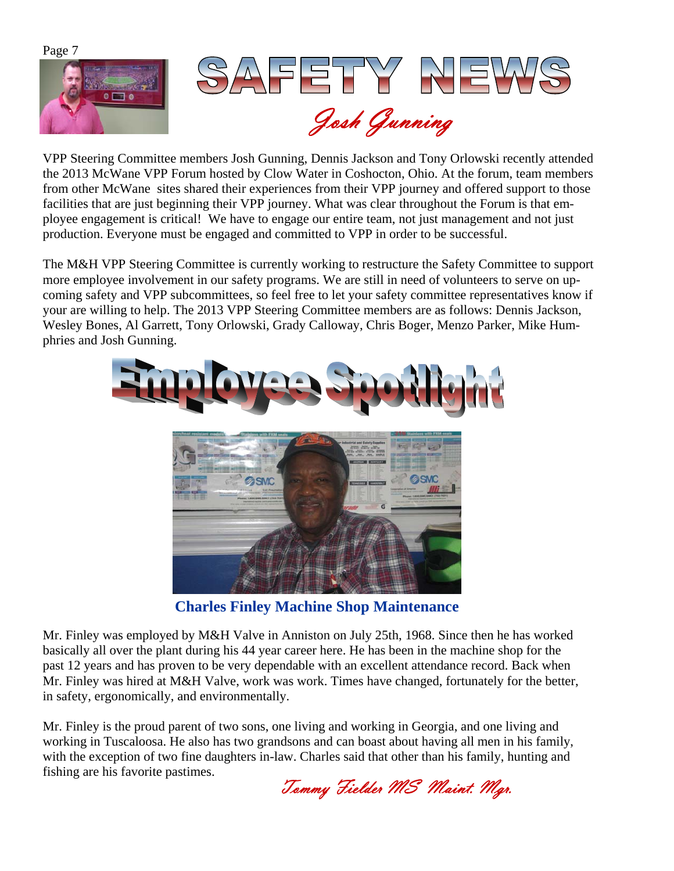

VPP Steering Committee members Josh Gunning, Dennis Jackson and Tony Orlowski recently attended the 2013 McWane VPP Forum hosted by Clow Water in Coshocton, Ohio. At the forum, team members from other McWane sites shared their experiences from their VPP journey and offered support to those facilities that are just beginning their VPP journey. What was clear throughout the Forum is that employee engagement is critical! We have to engage our entire team, not just management and not just production. Everyone must be engaged and committed to VPP in order to be successful.

The M&H VPP Steering Committee is currently working to restructure the Safety Committee to support more employee involvement in our safety programs. We are still in need of volunteers to serve on upcoming safety and VPP subcommittees, so feel free to let your safety committee representatives know if your are willing to help. The 2013 VPP Steering Committee members are as follows: Dennis Jackson, Wesley Bones, Al Garrett, Tony Orlowski, Grady Calloway, Chris Boger, Menzo Parker, Mike Humphries and Josh Gunning.



**Charles Finley Machine Shop Maintenance**

Mr. Finley was employed by M&H Valve in Anniston on July 25th, 1968. Since then he has worked basically all over the plant during his 44 year career here. He has been in the machine shop for the past 12 years and has proven to be very dependable with an excellent attendance record. Back when Mr. Finley was hired at M&H Valve, work was work. Times have changed, fortunately for the better, in safety, ergonomically, and environmentally.

Mr. Finley is the proud parent of two sons, one living and working in Georgia, and one living and working in Tuscaloosa. He also has two grandsons and can boast about having all men in his family, with the exception of two fine daughters in-law. Charles said that other than his family, hunting and fishing are his favorite pastimes.

Tommy Fielder MS Maint. Mgr.